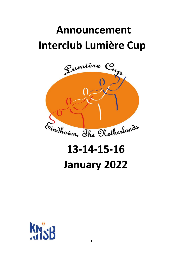## **Announcement Interclub Lumière Cup**



# **13-14-15-16 January 2022**

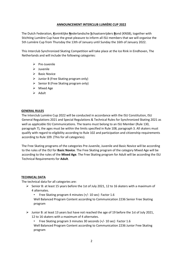#### **ANNOUNCEMENT INTERCLUB LUMIÈRE CUP 2022**

The Dutch Federation, **K**oninklijke **N**ederlandsche **S**chaatsenrijders **B**ond (KNSB), together with Stichting Lumière Cup have the great pleasure to inform all ISU members that we will organise the 5th Lumière Cup from Thursday the 13th of January until Sunday the 16th of January 2022.

This Interclub Synchronized Skating Competition will take place at the Ice Rink in Eindhoven, The Netherlands and will include the following categories:

- ➢ Pre-Juvenile
- ➢ Juvenile
- ➢ Basic Novice
- $\triangleright$  Junior B (Free Skating program only)
- ➢ Senior B (Free Skating program only)
- ➢ Mixed Age
- ➢ Adult

#### **GENERAL RULES**

The Interclub Lumière Cup 2022 will be conducted in accordance with the ISU Constitution, ISU General Regulations 2021 and Special Regulations & Technical Rules for Synchronized Skating 2021 as well as applicable ISU Communications. The teams must belong to an ISU Member (Rule 130, paragraph 7), the ages must be within the limits specified in Rule 108, paragraph 3. All skaters must qualify with regard to eligibility according to Rule 102 and participation and citizenship requirements according to Rule 109. (This for all categories).

The Free Skating programs of the categories Pre-Juvenile, Juvenile and Basic Novice will be according to the rules of the ISU for **Basic Novice**. The Free Skating program of the category Mixed Age will be according to the rules of the **Mixed Age**. The Free Skating program for Adult will be according the ISU Technical Requirements for **Adult**.

#### **TECHNICAL DATA**

The technical data for all categories are:

- $\triangleright$  Senior B: at least 15 years before the 1st of July 2021, 12 to 16 skaters with a maximum of 4 alternates.
	- Free Skating program 4 minutes (+/- 10 sec) Factor 1.6 Well Balanced Program Content according to Communication 2236 Senior Free Skating program
- ➢ Junior B: at least 13 years but have not reached the age of 19 before the 1st of July 2021, 12 to 16 skaters with a maximum of 4 alternates.
	- Free Skating program 3 minutes 30 seconds (+/- 10 sec) Factor 1.6
	- Well Balanced Program Content according to Communication 2236 Junior Free Skating program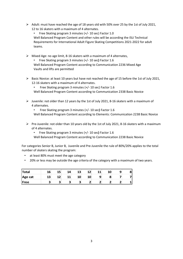$\triangleright$  Adult: must have reached the age of 18 years old with 50% over 25 by the 1st of July 2021, 12 to 16 skaters with a maximum of 4 alternates.

• Free Skating program 3 minutes (+/- 10 sec) Factor 1.0 Well Balanced Program Content and other rules will be according the ISU Technical Requirements for International Adult Figure Skating Competitions 2021-2022 for adult teams.

 $\triangleright$  Mixed Age: no age limit, 8-16 skaters with a maximum of 4 alternates,

• Free Skating program 3 minutes (+/- 10 sec**)** Factor 1.6 Well Balanced Program Content according to Communication 2236 Mixed Age Vaults and lifts are permitted

- ➢ Basic Novice: at least 10 years but have not reached the age of 15 before the 1st of July 2021, 12-16 skaters with a maximum of 4 alternates.
	- Free Skating program 3 minutes (+/- 10 sec) Factor 1.6

Well Balanced Program Content according to Communication 2338 Basic Novice

- $\triangleright$  Juvenile: not older than 12 years by the 1st of July 2021, 8-16 skaters with a maximum of 4 alternates.
	- Free Skating program 3 minutes (+/- 10 sec**)** Factor 1.6 Well Balanced Program Content according to Elements: Communication 2238 Basic Novice
- $\triangleright$  Pre-Juvenile: not older than 10 years old by the 1st of July 2021, 8-16 skaters with a maximum of 4 alternates.
	- Free Skating program 3 minutes (+/- 10 sec**)** Factor 1.6

Well Balanced Program Content according to Communication 2238 Basic Novice

For categories Senior B, Junior B, Juvenile and Pre-Juvenile the rule of 80%/20% applies to the total number of skaters skating the program:

- at least 80% must meet the age category
- 20% or less may be outside the age criteria of the category with a maximum of two years.

| <b>Total</b> | 16 | 15 | 14 | 13 | 12 | 11 |   | 8 |
|--------------|----|----|----|----|----|----|---|---|
| Age cat      | 13 |    | 11 | 10 | 10 |    | о |   |
| <b>IFree</b> |    |    | ت  |    |    |    |   |   |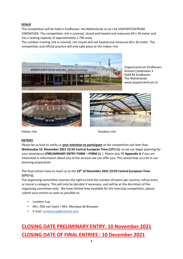#### **VENUE**

The competition will be held in Eindhoven, the Netherlands at ice rink IJSSPORTCENTRUM EINDHOVEN. The competition rink is covered, closed and heated and measures 60 x 30 meter and has a seating capacity of approximately 1.700 seats.

The outdoor training rink is covered, not closed and not heated and measures 60 x 30 meter. The competition and official practice will only take place at the indoor rink.



IJssportcentrum Eindhoven Antoon Coolenlaan 3 5644RX Eindhoven The Netherlands www.ijssportcentrum.nl





Indoor rink Outdoor rink

#### **ENTRIES**

Please be so kind to notify us **your intention to participate** at the competition not later than **Wednesday 10 November 2021 23:59 Central European Time (UTC+1)**, so we can begin planning for your attendance **(PRELIMINARY ENTRY FORM – FORM 1)**. ). Please also fill **Appendix A** if you are interested in information about any of the services we can offer you. This would help us a lot in our planning preparation.

The final entries have to reach us at the **10 th of December 2021 23:59 Central European Time (UTC+1).**

The organizing committee reserves the right to limit the number of teams per country, refuse entry or cancel a category. This will only be decided if necessary, and will be at the discretion of the organizing committee only. We have limited time available for the Interclub competition, please submit your entries as soon as possible to:

- Lumière Cup
- Mrs. Ellie van Soest / Mrs. Monique de Brouwer
- E-mail[: lumierecup@hotmail.com](mailto:lumierecup@hotmail.com)

### **CLOSING DATE PRELIMINARY ENTRY: 10 November 2021 CLOSING DATE OF FINAL ENTRIES : 10 December 2021**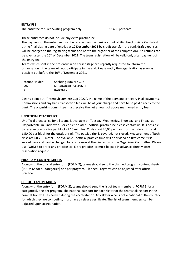#### **ENTRY FEE**

The entry fee for Free Skating program only  $\mathbf{F} \in \mathcal{F}$  =  $\mathcal{F}$  + 450 per team

These entry fees do not include any extra practice ice.

The payment of the entry fee must be received on the bank account of Stichting Lumière Cup latest at the final closing date of entries at **10 December 2021** by credit transfer (the bank draft expenses will be charged to the registering teams and not to the organiser of the competition). No refunds can be given after the 10<sup>th</sup> of December 2021. The team registration will be valid only after payment of the entry fee.

Teams which sent in the pre-entry in an earlier stage are urgently requested to inform the organisation if the team will not participate in the end. Please notify the organisation as soon as possible but before the 10<sup>th</sup> of December 2021.

| Account Holder: |   | Stichting Lumière Cup |
|-----------------|---|-----------------------|
| <b>IBAN</b>     | ٠ | NL84RABO0334619637    |
| <b>BIC</b>      | ٠ | RABONL2U              |

Clearly point out: "Interclub Lumière Cup 2022", the name of the team and category in all payments. Commissions and any bank transaction fees will be at your charge and have to be paid directly to the bank. The organizing committee must receive the net amount of above mentioned entry fees.

#### **UNOFFICIAL PRACTICE ICE**

Unofficial practice ice for all teams is available on Tuesday, Wednesday, Thursday, and Friday, at IJssportcentrum Eindhoven. For earlier or later unofficial practice ice please contact us. It is possible to reserve practice ice per block of 15 minutes. Costs are € 70,00 per block for the indoor rink and € 50,00 per block for the outdoor rink. The outside rink is covered, not closed. Measurement of both rinks are 60 x 30 meter. The available unofficial practice time will be divided on first come, first served base and can be changed for any reason at the discretion of the Organizing Committee. Please use FORM 5 to order any practice ice. Extra practice ice must be paid in advance directly after reservation request.

#### **PROGRAM CONTENT SHEETS**

Along with the official entry form (FORM 2), teams should send the planned program content sheets (FORM 6a for all categories) one per program. Planned Programs can be adjusted after official practice.

#### **LIST OF TEAM MEMBERS**

Along with the entry form (FORM 2), teams should send the list of team members (FORM 3 for all categories), one per program. The national passport for each skater of the teams taking part in the competition will be checked during the accreditation. Any skater who is not a national of the country for which they are competing, must have a release certificate. The list of team members can be adjusted upon accreditation.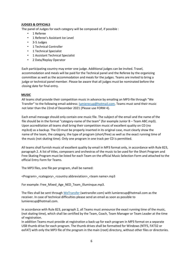#### **JUDGES & OFFICIALS**

The panel of Judges for each category will be composed of, if possible :

- 1 Referee
- 1 Referee's Assistant Ice Level
- 3-5 Judges
- 1 Technical Controller
- 1 Technical Specialist
- 1 Assistant Technical Specialist
- 2 Data/Replay Operator

Each participating country may enter one judge. Additional judges can be invited. Travel, accommodation and meals will be paid for the Technical panel and the Referee by the organizing committee as well as the accommodation and meals for the judges. Teams are invited to bring a judge or technical panel member. Please be aware that all judges must be nominated before the closing date for final entry.

#### **MUSIC**

All teams shall provide their competition music in advance by emailing an MP3-file through "We Transfer" to the following email-address: **lumierecup@hotmail.com**. Teams must send their music not later than the 22nd of December 2021 (Please use FORM 4).

Each email message should only contain one music file. The subject of the email and the name of the file should be in the format "category-name of the team" (for example Junior B – Team ABC.mp3). Upon accreditation all teams shall bring their competition music of excellent quality on CD (no mp3cd) as a backup. The CD must be properly inserted in its original case, must clearly show the name of the team, the category, the type of program (short/free) as well as the exact running time of the music (not skating time). Only one program in one track per CD is permitted.

All teams shall furnish music of excellent quality by email in MP3 format only, in accordance with Rule 823, paragraph 2. A list of titles, composers and orchestras of the music to be used for the Short Program and Free Skating Program must be listed for each Team on the official Music Selection Form and attached to the official Entry Form for Teams.

The MP3 files, one file per program, shall be named:

<Program>\_<category>\_<country abbreviation>\_<team name>.mp3

For example: Free\_Mixed\_Age\_NED\_Team\_Illuminque.mp3.

The files shall be sent throug[h WeTransfer](https://wetransfer.com/) (wetransfer.com) with lumierecup@hotmail.com as the receiver. In case of technical difficulties please send an email as soon as possible to lumierecup@hotmail.com.

In accordance with Rule 823, paragraph 2, all Teams must announce the exact running time of the music, (not skating time), which shall be certified by the Team, Coach, Team Manager or Team Leader at the time of registration.

In addition Teams must provide at registration a back-up for each program in MP3 format on a separate USB thumb drive for each program. The thumb drives shall be formatted for Windows (NTFS, FAT32 or exFAT) with only the MP3 file of the program in the main (root) directory, without other files or directories.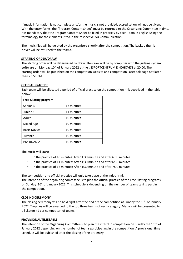If music information is not complete and/or the music is not provided, accreditation will not be given. With the entry forms, the "Program Content Sheet" must be returned to the Organizing Committee in time. It is mandatory that the Program Content Sheet be filled in precisely by each Team in English using the terminology for the elements listed in the respective ISU Communication.

The music files will be deleted by the organizers shortly after the competition. The backup thumb drives will be returned to the teams.

#### **STARTING ORDER/DRAW**

The starting order will be determined by draw. The draw will be by computer with the judging system software on Monday 10<sup>th</sup> of January 2022 at the IJSSPORTCENTRUM EINDHOVEN at 20:00. The starting order will be published on the competition website and competition Facebook page not later than 23:59 PM.

#### **OFFICIAL PRACTICE**

Each team will be allocated a period of official practice on the competition rink described in the table below:

| <b>Free Skating program</b> |            |
|-----------------------------|------------|
| Senior B                    | 12 minutes |
| Junior B                    | 11 minutes |
| Adult                       | 10 minutes |
| Mixed Age                   | 10 minutes |
| <b>Basic Novice</b>         | 10 minutes |
| Juvenile                    | 10 minutes |
| Pre-Juvenile                | 10 minutes |

The music will start:

- In the practice of 10 minutes: After 1:30 minute and after 6:00 minutes
- In the practice of 11 minutes: After 1:30 minute and after 6:30 minutes
- In the practice of 12 minutes: After 1:30 minute and after 7:00 minutes

The competition and official practice will only take place at the indoor rink.

The intention of the organizing committee is to plan the official practice of the Free Skating programs on Sunday 16<sup>th</sup> of January 2022. This schedule is depending on the number of teams taking part in the competition.

#### **CLOSING CEREMONY**

The closing ceremony will be held right after the end of the competition at Sunday the 16<sup>th</sup> of January 2022. Trophies will be awarded to the top three teams of each category. Medals will be presented to all skaters (1 per competitor) of teams.

#### **PROVISIONAL TIMETABLE**

The intention of the Organizing Committee is to plan the interclub competition on Sunday the 16th of January 2022 depending on the number of teams participating in the competition. A provisional time schedule will be published after the closing of the pre-entry.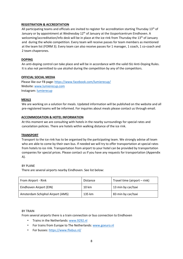#### **REGISTRATION & ACCREDITATION**

All participating teams and officials are invited to register for accreditation starting Thursday 13<sup>th</sup> of January or by appointment at Wednesday  $12<sup>th</sup>$  of January at the IJssportcentrum Eindhoven. A welcoming/accreditation/info desk will be in place at the ice rink from Thursday the 13<sup>th</sup> of January and during the whole competition. Every team will receive passes for team members as mentioned at the team list (FORM 3). Every team can also receive passes for 1 manager, 1 coach, 1 co-coach and 2 team chaperones.

#### **DOPING**

An anti-doping control can take place and will be in accordance with the valid ISU Anti-Doping Rules. It is also not permitted to use alcohol during the competition by any of the competitors.

#### **OFFICIAL SOCIAL MEDIA**

Please like our FB page:<https://www.facebook.com/lumierecup/> Website: [www.lumierecup.com](http://www.lumierecup.com/) Instagram[: lumierecup](https://www.instagram.com/lumierecup/?hl=nl)

#### **MEALS**

We are working on a solution for meals. Updated information will be published on the website and all pre-registered teams will be informed. For inquiries about meals please contact us through email.

#### **ACCOMMODATION & HOTEL INFORMATION**

At this moment we are consulting with hotels in the nearby surroundings for special rates and cancelation policies. There are hotels within walking distance of the ice rink.

#### **TRANSPORT**

Transport to the ice rink has to be organised by the participating team. We strongly advise all team who are able to come by their own bus. If needed we will try to offer transportation at special rates from hotels to ice rink. Transportation from airport to your hotel can be provided by transportation companies for special prices. Please contact us if you have any requests for transportation (Appendix A).

#### BY PLANE

There are several airports nearby Eindhoven. See list below:

| From Airport - Rink              | <b>Distance</b> | Travel time (airport - rink) |
|----------------------------------|-----------------|------------------------------|
| Eindhoven Airport (EIN)          | $10 \text{ km}$ | 13 min by car/taxi           |
| Amsterdam Schiphol Airport (AMS) | 135 km          | 83 min by car/taxi           |

#### BY TRAIN

From several airports there is a train connection or bus connection to Eindhoven

- Trains in the Netherlands: [www.9292.nl](http://www.9292.nl/)
- For trains from Europe to The Netherlands[: www.goeuro.nl](http://www.goeuro.nl/)
- For busses[: https://www.flixbus.nl/](https://www.flixbus.nl/)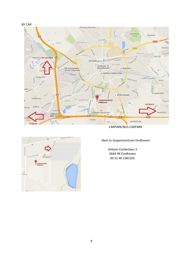



CARPARK/BUS CARPARK



Next to IJssportcentrum Eindhoven

Antoon Coolenlaan 3 5644 RX Eindhoven 00 31 40 2381201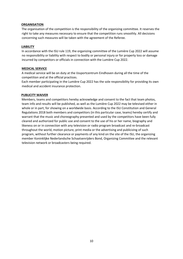#### **ORGANISATION**

The organisation of the competition is the responsibility of the organizing committee. It reserves the right to take any measures necessary to ensure that the competition runs smoothly. All decisions concerning such measures will be taken with the agreement of the Referee.

#### **LIABILITY**

In accordance with the ISU rule 119, the organizing committee of the Lumière Cup 2022 will assume no responsibility or liability with respect to bodily or personal injury or for property loss or damage incurred by competitors or officials in connection with the Lumière Cup 2022.

#### **MEDICAL SERVICE**

A medical service will be on duty at the IJssportcentrum Eindhoven during all the time of the competition and at the official practices.

Each member participating in the Lumière Cup 2022 has the sole responsibility for providing its own medical and accident insurance protection.

#### **PUBLICITY WAIVER**

Members, teams and competitors hereby acknowledge and consent to the fact that team photos, team info and results will be published, as well as the Lumière Cup 2022 may be televised either in whole or in part, for showing on a worldwide basis. According to the ISU Constitution and General Regulations 2018 both members and competitors (in this particular case, teams) hereby certify and warrant that the music and choreography presented and used by the competitors have been fully cleared and authorized for public use and consent to the use of his or her name, biography and likeness on or in connection with any television or radio program broadcast and re-broadcast throughout the world, motion picture, print media or the advertising and publicizing of such program, without further clearance or payments of any kind on the site of the ISU, the organizing member Koninklijke Nederlandsche Schaatsenrijders Bond, Organizing Committee and the relevant television network or broadcasters being required.